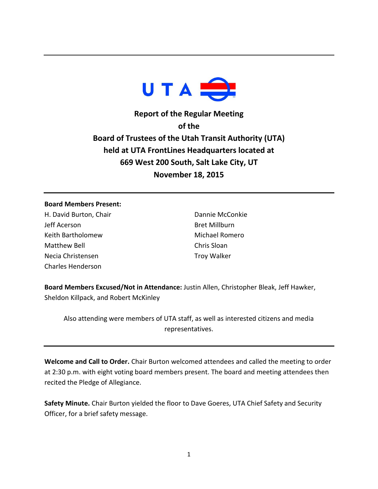

**Report of the Regular Meeting of the Board of Trustees of the Utah Transit Authority (UTA) held at UTA FrontLines Headquarters located at 669 West 200 South, Salt Lake City, UT November 18, 2015**

## **Board Members Present:**

H. David Burton, Chair Jeff Acerson Keith Bartholomew Matthew Bell Necia Christensen Charles Henderson

Dannie McConkie Bret Millburn Michael Romero Chris Sloan Troy Walker

**Board Members Excused/Not in Attendance:** Justin Allen, Christopher Bleak, Jeff Hawker, Sheldon Killpack, and Robert McKinley

Also attending were members of UTA staff, as well as interested citizens and media representatives.

**Welcome and Call to Order.** Chair Burton welcomed attendees and called the meeting to order at 2:30 p.m. with eight voting board members present. The board and meeting attendees then recited the Pledge of Allegiance.

**Safety Minute.** Chair Burton yielded the floor to Dave Goeres, UTA Chief Safety and Security Officer, for a brief safety message.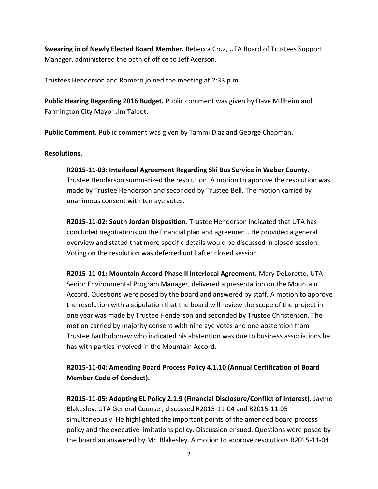**Swearing in of Newly Elected Board Member.** Rebecca Cruz, UTA Board of Trustees Support Manager, administered the oath of office to Jeff Acerson.

Trustees Henderson and Romero joined the meeting at 2:33 p.m.

**Public Hearing Regarding 2016 Budget.** Public comment was given by Dave Millheim and Farmington City Mayor Jim Talbot.

**Public Comment.** Public comment was given by Tammi Diaz and George Chapman.

## **Resolutions.**

## **R2015-11-03: Interlocal Agreement Regarding Ski Bus Service in Weber County.**

Trustee Henderson summarized the resolution. A motion to approve the resolution was made by Trustee Henderson and seconded by Trustee Bell. The motion carried by unanimous consent with ten aye votes.

**R2015-11-02: South Jordan Disposition.** Trustee Henderson indicated that UTA has concluded negotiations on the financial plan and agreement. He provided a general overview and stated that more specific details would be discussed in closed session. Voting on the resolution was deferred until after closed session.

**R2015-11-01: Mountain Accord Phase II Interlocal Agreement.** Mary DeLoretto, UTA Senior Environmental Program Manager, delivered a presentation on the Mountain Accord. Questions were posed by the board and answered by staff. A motion to approve the resolution with a stipulation that the board will review the scope of the project in one year was made by Trustee Henderson and seconded by Trustee Christensen. The motion carried by majority consent with nine aye votes and one abstention from Trustee Bartholomew who indicated his abstention was due to business associations he has with parties involved in the Mountain Accord.

**R2015-11-04: Amending Board Process Policy 4.1.10 (Annual Certification of Board Member Code of Conduct).** 

**R2015-11-05: Adopting EL Policy 2.1.9 (Financial Disclosure/Conflict of Interest).** Jayme Blakesley, UTA General Counsel, discussed R2015-11-04 and R2015-11-05 simultaneously. He highlighted the important points of the amended board process policy and the executive limitations policy. Discussion ensued. Questions were posed by the board an answered by Mr. Blakesley. A motion to approve resolutions R2015-11-04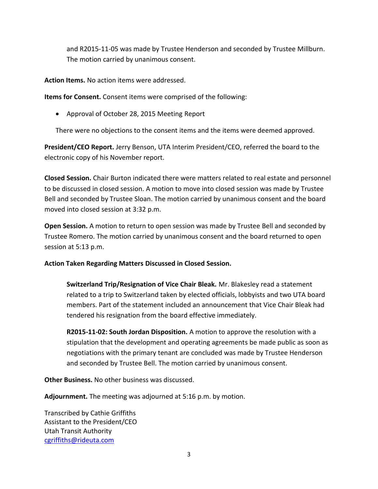and R2015-11-05 was made by Trustee Henderson and seconded by Trustee Millburn. The motion carried by unanimous consent.

**Action Items.** No action items were addressed.

**Items for Consent.** Consent items were comprised of the following:

• Approval of October 28, 2015 Meeting Report

There were no objections to the consent items and the items were deemed approved.

**President/CEO Report.** Jerry Benson, UTA Interim President/CEO, referred the board to the electronic copy of his November report.

**Closed Session.** Chair Burton indicated there were matters related to real estate and personnel to be discussed in closed session. A motion to move into closed session was made by Trustee Bell and seconded by Trustee Sloan. The motion carried by unanimous consent and the board moved into closed session at 3:32 p.m.

**Open Session.** A motion to return to open session was made by Trustee Bell and seconded by Trustee Romero. The motion carried by unanimous consent and the board returned to open session at 5:13 p.m.

**Action Taken Regarding Matters Discussed in Closed Session.**

**Switzerland Trip/Resignation of Vice Chair Bleak.** Mr. Blakesley read a statement related to a trip to Switzerland taken by elected officials, lobbyists and two UTA board members. Part of the statement included an announcement that Vice Chair Bleak had tendered his resignation from the board effective immediately.

**R2015-11-02: South Jordan Disposition.** A motion to approve the resolution with a stipulation that the development and operating agreements be made public as soon as negotiations with the primary tenant are concluded was made by Trustee Henderson and seconded by Trustee Bell. The motion carried by unanimous consent.

**Other Business.** No other business was discussed.

**Adjournment.** The meeting was adjourned at 5:16 p.m. by motion.

Transcribed by Cathie Griffiths Assistant to the President/CEO Utah Transit Authority [cgriffiths@rideuta.com](mailto:cgriffiths@rideuta.com)